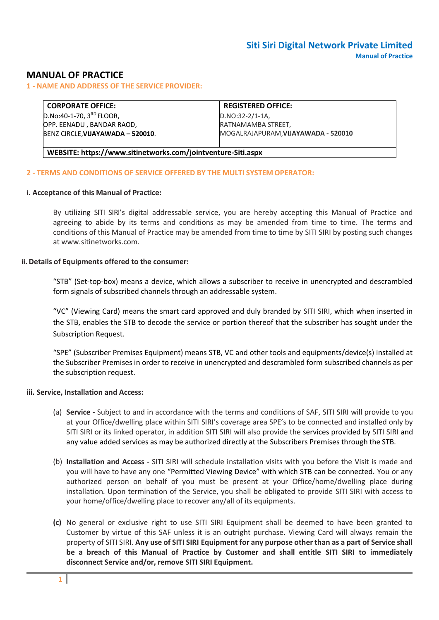# **MANUAL OF PRACTICE**

**1 - NAME AND ADDRESS OF THE SERVICE PROVIDER:**

| <b>CORPORATE OFFICE:</b>                                     | <b>REGISTERED OFFICE:</b>           |  |  |  |
|--------------------------------------------------------------|-------------------------------------|--|--|--|
| D.No:40-1-70, 3RD FLOOR,                                     | $D.NO:32-2/1-1A.$                   |  |  |  |
| OPP. EENADU, BANDAR RAOD,                                    | RATNAMAMBA STREET,                  |  |  |  |
| BENZ CIRCLE, VIJAYAWADA - 520010.                            | MOGALRAJAPURAM, VIJAYAWADA - 520010 |  |  |  |
|                                                              |                                     |  |  |  |
| WEBSITE: https://www.sitinetworks.com/jointventure-Siti.aspx |                                     |  |  |  |

### **2 - TERMS AND CONDITIONS OF SERVICE OFFERED BY THE MULTI SYSTEM OPERATOR:**

### **i. Acceptance of this Manual of Practice:**

By utilizing SITI SIRI's digital addressable service, you are hereby accepting this Manual of Practice and agreeing to abide by its terms and conditions as may be amended from time to time. The terms and conditions of this Manual of Practice may be amended from time to time by SITI SIRI by posting such changes a[t www.sitinetworks.com.](http://www.sitinetworks.com/)

### **ii. Details of Equipments offered to the consumer:**

"STB" (Set-top-box) means a device, which allows a subscriber to receive in unencrypted and descrambled form signals of subscribed channels through an addressable system.

"VC" (Viewing Card) means the smart card approved and duly branded by SITI SIRI, which when inserted in the STB, enables the STB to decode the service or portion thereof that the subscriber has sought under the Subscription Request.

"SPE" (Subscriber Premises Equipment) means STB, VC and other tools and equipments/device(s) installed at the Subscriber Premises in order to receive in unencrypted and descrambled form subscribed channels as per the subscription request.

#### **iii. Service, Installation and Access:**

- (a) **Service -** Subject to and in accordance with the terms and conditions of SAF, SITI SIRI will provide to you at your Office/dwelling place within SITI SIRI's coverage area SPE's to be connected and installed only by SITI SIRI or its linked operator, in addition SITI SIRI will also provide the services provided by SITI SIRI and any value added services as may be authorized directly at the Subscribers Premises through the STB.
- (b) **Installation and Access -** SITI SIRI will schedule installation visits with you before the Visit is made and you will have to have any one "Permitted Viewing Device" with which STB can be connected. You or any authorized person on behalf of you must be present at your Office/home/dwelling place during installation. Upon termination of the Service, you shall be obligated to provide SITI SIRI with access to your home/office/dwelling place to recover any/all of its equipments.
- **(c)** No general or exclusive right to use SITI SIRI Equipment shall be deemed to have been granted to Customer by virtue of this SAF unless it is an outright purchase. Viewing Card will always remain the property of SITI SIRI. **Any use of SITI SIRI Equipment for any purpose other than as a part of Service shall be a breach of this Manual of Practice by Customer and shall entitle SITI SIRI to immediately disconnect Service and/or, remove SITI SIRI Equipment.**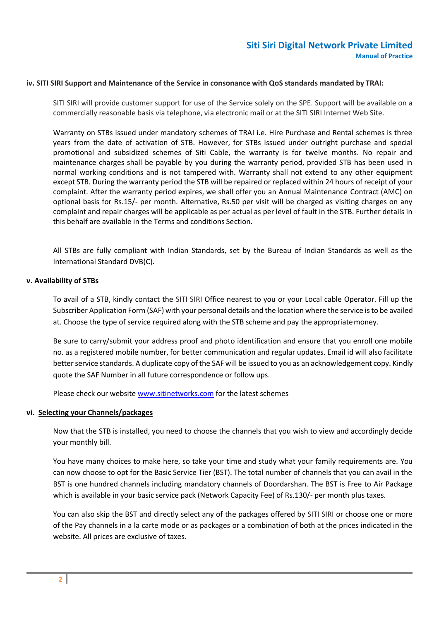### **iv. SITI SIRI Support and Maintenance of the Service in consonance with QoS standards mandated by TRAI:**

SITI SIRI will provide customer support for use of the Service solely on the SPE. Support will be available on a commercially reasonable basis via telephone, via electronic mail or at the SITI SIRI Internet Web Site.

Warranty on STBs issued under mandatory schemes of TRAI i.e. Hire Purchase and Rental schemes is three years from the date of activation of STB. However, for STBs issued under outright purchase and special promotional and subsidized schemes of Siti Cable, the warranty is for twelve months. No repair and maintenance charges shall be payable by you during the warranty period, provided STB has been used in normal working conditions and is not tampered with. Warranty shall not extend to any other equipment except STB. During the warranty period the STB will be repaired or replaced within 24 hours of receipt of your complaint. After the warranty period expires, we shall offer you an Annual Maintenance Contract (AMC) on optional basis for Rs.15/- per month. Alternative, Rs.50 per visit will be charged as visiting charges on any complaint and repair charges will be applicable as per actual as per level of fault in the STB. Further details in this behalf are available in the Terms and conditions Section.

All STBs are fully compliant with Indian Standards, set by the Bureau of Indian Standards as well as the International Standard DVB(C).

#### **v. Availability of STBs**

To avail of a STB, kindly contact the SITI SIRI Office nearest to you or your Local cable Operator. Fill up the Subscriber Application Form (SAF) with your personal details and the location where the service isto be availed at. Choose the type of service required along with the STB scheme and pay the appropriatemoney.

Be sure to carry/submit your address proof and photo identification and ensure that you enroll one mobile no. as a registered mobile number, for better communication and regular updates. Email id will also facilitate better service standards. A duplicate copy of the SAF will be issued to you as an acknowledgement copy. Kindly quote the SAF Number in all future correspondence or follow ups.

Please check our websit[e www.sitinetworks.com](http://www.siticable.com/) for the latest schemes

#### **vi. Selecting your Channels/packages**

Now that the STB is installed, you need to choose the channels that you wish to view and accordingly decide your monthly bill.

You have many choices to make here, so take your time and study what your family requirements are. You can now choose to opt for the Basic Service Tier (BST). The total number of channels that you can avail in the BST is one hundred channels including mandatory channels of Doordarshan. The BST is Free to Air Package which is available in your basic service pack (Network Capacity Fee) of Rs.130/- per month plus taxes.

You can also skip the BST and directly select any of the packages offered by SITI SIRI or choose one or more of the Pay channels in a la carte mode or as packages or a combination of both at the prices indicated in the website. All prices are exclusive of taxes.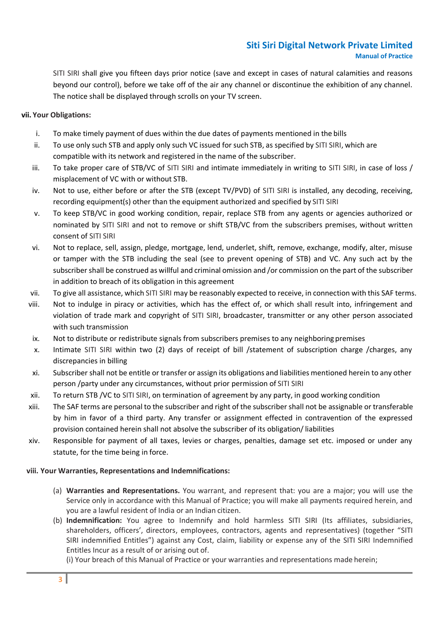SITI SIRI shall give you fifteen days prior notice (save and except in cases of natural calamities and reasons beyond our control), before we take off of the air any channel or discontinue the exhibition of any channel. The notice shall be displayed through scrolls on your TV screen.

## **vii. Your Obligations:**

- i. To make timely payment of dues within the due dates of payments mentioned in the bills
- ii. To use only such STB and apply only such VC issued for such STB, as specified by SITI SIRI, which are compatible with its network and registered in the name of the subscriber.
- iii. To take proper care of STB/VC of SITI SIRI and intimate immediately in writing to SITI SIRI, in case of loss / misplacement of VC with or without STB.
- iv. Not to use, either before or after the STB (except TV/PVD) of SITI SIRI is installed, any decoding, receiving, recording equipment(s) other than the equipment authorized and specified by SITI SIRI
- v. To keep STB/VC in good working condition, repair, replace STB from any agents or agencies authorized or nominated by SITI SIRI and not to remove or shift STB/VC from the subscribers premises, without written consent of SITI SIRI
- vi. Not to replace, sell, assign, pledge, mortgage, lend, underlet, shift, remove, exchange, modify, alter, misuse or tamper with the STB including the seal (see to prevent opening of STB) and VC. Any such act by the subscriber shall be construed as willful and criminal omission and /or commission on the part of the subscriber in addition to breach of its obligation in this agreement
- vii. To give all assistance, which SITI SIRI may be reasonably expected to receive, in connection with this SAF terms.
- viii. Not to indulge in piracy or activities, which has the effect of, or which shall result into, infringement and violation of trade mark and copyright of SITI SIRI, broadcaster, transmitter or any other person associated with such transmission
- ix. Not to distribute or redistribute signals from subscribers premises to any neighboring premises
- x. Intimate SITI SIRI within two (2) days of receipt of bill /statement of subscription charge /charges, any discrepancies in billing
- xi. Subscriber shall not be entitle or transfer or assign its obligations and liabilities mentioned herein to any other person /party under any circumstances, without prior permission of SITI SIRI
- xii. To return STB /VC to SITI SIRI, on termination of agreement by any party, in good working condition
- xiii. The SAF terms are personal to the subscriber and right of the subscriber shall not be assignable or transferable by him in favor of a third party. Any transfer or assignment effected in contravention of the expressed provision contained herein shall not absolve the subscriber of its obligation/ liabilities
- xiv. Responsible for payment of all taxes, levies or charges, penalties, damage set etc. imposed or under any statute, for the time being in force.

### **viii. Your Warranties, Representations and Indemnifications:**

- (a) **Warranties and Representations.** You warrant, and represent that: you are a major; you will use the Service only in accordance with this Manual of Practice; you will make all payments required herein, and you are a lawful resident of India or an Indian citizen.
- (b) **Indemnification:** You agree to Indemnify and hold harmless SITI SIRI (Its affiliates, subsidiaries, shareholders, officers', directors, employees, contractors, agents and representatives) (together "SITI SIRI indemnified Entitles") against any Cost, claim, liability or expense any of the SITI SIRI Indemnified Entitles Incur as a result of or arising out of.

(i) Your breach of this Manual of Practice or your warranties and representations made herein;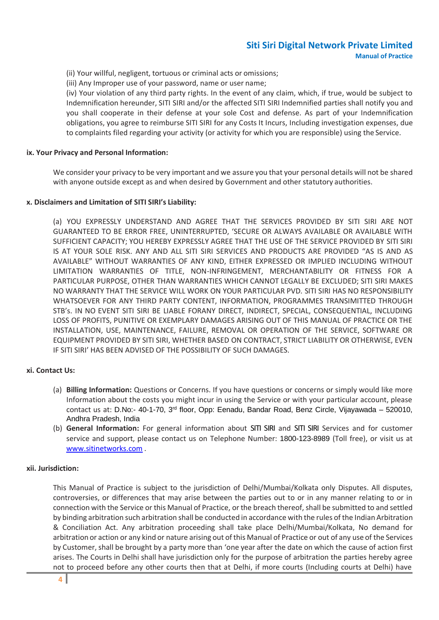- (ii) Your willful, negligent, tortuous or criminal acts or omissions;
- (iii) Any Improper use of your password, name or user name;

(iv) Your violation of any third party rights. In the event of any claim, which, if true, would be subject to Indemnification hereunder, SITI SIRI and/or the affected SITI SIRI Indemnified parties shall notify you and you shall cooperate in their defense at your sole Cost and defense. As part of your Indemnification obligations, you agree to reimburse SITI SIRI for any Costs It Incurs, Including investigation expenses, due to complaints filed regarding your activity (or activity for which you are responsible) using the Service.

### **ix. Your Privacy and Personal Information:**

We consider your privacy to be very important and we assure you that your personal details will not be shared with anyone outside except as and when desired by Government and other statutory authorities.

### **x. Disclaimers and Limitation of SITI SIRI's Liability:**

(a) YOU EXPRESSLY UNDERSTAND AND AGREE THAT THE SERVICES PROVIDED BY SITI SIRI ARE NOT GUARANTEED TO BE ERROR FREE, UNINTERRUPTED, 'SECURE OR ALWAYS AVAILABLE OR AVAILABLE WITH SUFFICIENT CAPACITY; YOU HEREBY EXPRESSLY AGREE THAT THE USE OF THE SERVICE PROVIDED BY SITI SIRI IS AT YOUR SOLE RISK. ANY AND ALL SITI SIRI SERVICES AND PRODUCTS ARE PROVIDED "AS IS AND AS AVAILABLE" WITHOUT WARRANTIES OF ANY KIND, EITHER EXPRESSED OR IMPLIED INCLUDING WITHOUT LIMITATION WARRANTIES OF TITLE, NON-INFRINGEMENT, MERCHANTABILITY OR FITNESS FOR A PARTICULAR PURPOSE, OTHER THAN WARRANTIES WHICH CANNOT LEGALLY BE EXCLUDED; SITI SIRI MAKES NO WARRANTY THAT THE SERVICE WILL WORK ON YOUR PARTICULAR PVD. SITI SIRI HAS NO RESPONSIBILITY WHATSOEVER FOR ANY THIRD PARTY CONTENT, INFORMATION, PROGRAMMES TRANSIMITTED THROUGH STB's. IN NO EVENT SITI SIRI BE LIABLE FORANY DIRECT, INDIRECT, SPECIAL, CONSEQUENTIAL, INCLUDING LOSS OF PROFITS, PUNITIVE OR EXEMPLARY DAMAGES ARISING OUT OF THIS MANUAL OF PRACTICE OR THE INSTALLATION, USE, MAINTENANCE, FAILURE, REMOVAL OR OPERATION OF THE SERVICE, SOFTWARE OR EQUIPMENT PROVIDED BY SITI SIRI, WHETHER BASED ON CONTRACT, STRICT LIABILITY OR OTHERWISE, EVEN IF SITI SIRI' HAS BEEN ADVISED OF THE POSSIBILITY OF SUCH DAMAGES.

### **xi. Contact Us:**

- (a) **Billing Information:** Questions or Concerns. If you have questions or concerns or simply would like more Information about the costs you might incur in using the Service or with your particular account, please contact us at: D.No:- 40-1-70, 3rd floor, Opp: Eenadu, Bandar Road, Benz Circle, Vijayawada – 520010, Andhra Pradesh, India
- (b) **General Information:** For general information about SITI SIRI and SITI SIRI Services and for customer service and support, please contact us on Telephone Number: 1800-123-8989 (Toll free), or visit us at [www.sitinetworks.com](http://www.siticable.com/) .

#### **xii. Jurisdiction:**

This Manual of Practice is subject to the jurisdiction of Delhi/Mumbai/Kolkata only Disputes. All disputes, controversies, or differences that may arise between the parties out to or in any manner relating to or in connection with the Service or this Manual of Practice, or the breach thereof,shall be submitted to and settled by binding arbitration such arbitration shall be conducted in accordance with the rules of the Indian Arbitration & Conciliation Act. Any arbitration proceeding shall take place Delhi/Mumbai/Kolkata, No demand for arbitration or action or any kind or nature arising out of this Manual of Practice or out of any use of the Services by Customer,shall be brought by a party more than 'one year after the date on which the cause of action first arises. The Courts in Delhi shall have jurisdiction only for the purpose of arbitration the parties hereby agree not to proceed before any other courts then that at Delhi, if more courts (Including courts at Delhi) have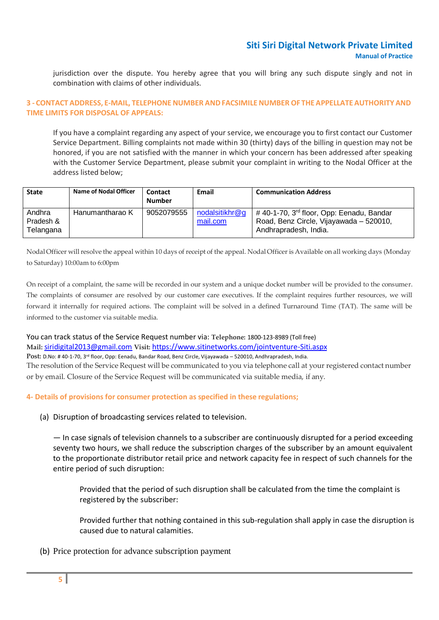jurisdiction over the dispute. You hereby agree that you will bring any such dispute singly and not in combination with claims of other individuals.

### **3 - CONTACT ADDRESS, E-MAIL, TELEPHONE NUMBER ANDFACSIMILE NUMBER OF THEAPPELLATEAUTHORITY AND TIME LIMITS FOR DISPOSAL OF APPEALS:**

If you have a complaint regarding any aspect of your service, we encourage you to first contact our Customer Service Department. Billing complaints not made within 30 (thirty) days of the billing in question may not be honored, if you are not satisfied with the manner in which your concern has been addressed after speaking with the Customer Service Department, please submit your complaint in writing to the Nodal Officer at the address listed below;

| <b>State</b>                     | <b>Name of Nodal Officer</b> | Contact<br><b>Number</b> | Email                      | <b>Communication Address</b>                                                                                             |
|----------------------------------|------------------------------|--------------------------|----------------------------|--------------------------------------------------------------------------------------------------------------------------|
| Andhra<br>Pradesh &<br>Telangana | Hanumantharao K              | 9052079555               | nodalsitikhr@q<br>mail.com | #40-1-70, 3 <sup>rd</sup> floor, Opp: Eenadu, Bandar<br>Road, Benz Circle, Vijayawada - 520010,<br>Andhrapradesh, India. |

Nodal Officer willresolve the appeal within 10 days of receipt of the appeal. Nodal Officer is Available on all working days (Monday to Saturday) 10:00am to 6:00pm

On receipt of a complaint, the same will be recorded in our system and a unique docket number will be provided to the consumer. The complaints of consumer are resolved by our customer care executives. If the complaint requires further resources, we will forward it internally for required actions. The complaint will be solved in a defined Turnaround Time (TAT). The same will be informed to the customer via suitable media.

You can track status of the Service Request number via: **Telephone:** 1800-123-8989 (Toll free) **Mail:** [siridigital2013@gmail.com](mailto:siridigital2013@gmail.com) **Visit:** https://www.sitinetworks.com/jointventure-Siti.aspx **Post:** D.No: # 40-1-70, 3rd floor, Opp: Eenadu, Bandar Road, Benz Circle, Vijayawada – 520010, Andhrapradesh, India.

The resolution of the Service Request will be communicated to you via telephone call at your registered contact number or by email. Closure of the Service Request will be communicated via suitable media, if any.

## **4- Details of provisions for consumer protection as specified in these regulations;**

(a) Disruption of broadcasting services related to television.

— In case signals of television channels to a subscriber are continuously disrupted for a period exceeding seventy two hours, we shall reduce the subscription charges of the subscriber by an amount equivalent to the proportionate distributor retail price and network capacity fee in respect of such channels for the entire period of such disruption:

Provided that the period of such disruption shall be calculated from the time the complaint is registered by the subscriber:

Provided further that nothing contained in this sub-regulation shall apply in case the disruption is caused due to natural calamities.

(b) Price protection for advance subscription payment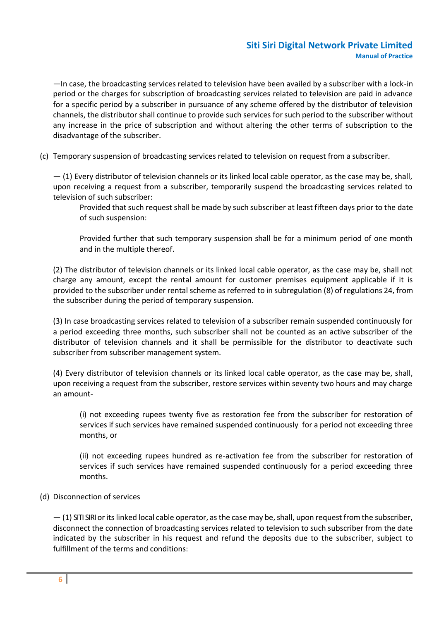—In case, the broadcasting services related to television have been availed by a subscriber with a lock-in period or the charges for subscription of broadcasting services related to television are paid in advance for a specific period by a subscriber in pursuance of any scheme offered by the distributor of television channels, the distributor shall continue to provide such services for such period to the subscriber without any increase in the price of subscription and without altering the other terms of subscription to the disadvantage of the subscriber.

(c) Temporary suspension of broadcasting services related to television on request from a subscriber.

— (1) Every distributor of television channels or its linked local cable operator, as the case may be, shall, upon receiving a request from a subscriber, temporarily suspend the broadcasting services related to television of such subscriber:

Provided that such request shall be made by such subscriber at least fifteen days prior to the date of such suspension:

Provided further that such temporary suspension shall be for a minimum period of one month and in the multiple thereof.

(2) The distributor of television channels or its linked local cable operator, as the case may be, shall not charge any amount, except the rental amount for customer premises equipment applicable if it is provided to the subscriber under rental scheme asreferred to in subregulation (8) of regulations 24, from the subscriber during the period of temporary suspension.

(3) In case broadcasting services related to television of a subscriber remain suspended continuously for a period exceeding three months, such subscriber shall not be counted as an active subscriber of the distributor of television channels and it shall be permissible for the distributor to deactivate such subscriber from subscriber management system.

(4) Every distributor of television channels or its linked local cable operator, as the case may be, shall, upon receiving a request from the subscriber, restore services within seventy two hours and may charge an amount-

(i) not exceeding rupees twenty five as restoration fee from the subscriber for restoration of services if such services have remained suspended continuously for a period not exceeding three months, or

(ii) not exceeding rupees hundred as re-activation fee from the subscriber for restoration of services if such services have remained suspended continuously for a period exceeding three months.

## (d) Disconnection of services

— (1) SITI SIRI oritslinked local cable operator, asthe case may be,shall, upon request from the subscriber, disconnect the connection of broadcasting services related to television to such subscriber from the date indicated by the subscriber in his request and refund the deposits due to the subscriber, subject to fulfillment of the terms and conditions: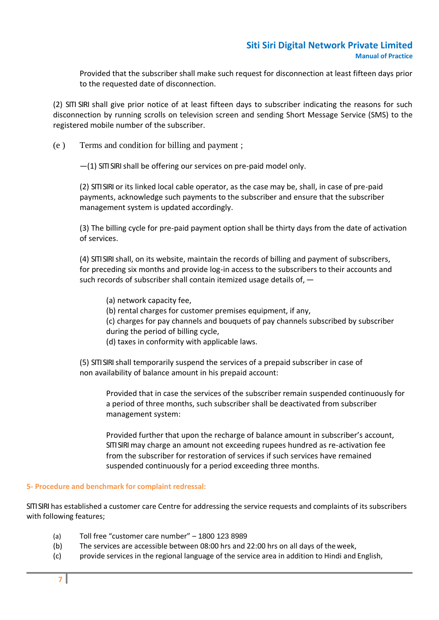Provided that the subscriber shall make such request for disconnection at least fifteen days prior to the requested date of disconnection.

(2) SITI SIRI shall give prior notice of at least fifteen days to subscriber indicating the reasons for such disconnection by running scrolls on television screen and sending Short Message Service (SMS) to the registered mobile number of the subscriber.

(e ) Terms and condition for billing and payment ;

 $-$ (1) SITI SIRI shall be offering our services on pre-paid model only.

(2) SITI SIRI or its linked local cable operator, as the case may be, shall, in case of pre-paid payments, acknowledge such payments to the subscriber and ensure that the subscriber management system is updated accordingly.

(3) The billing cycle for pre-paid payment option shall be thirty days from the date of activation of services.

(4) SITI SIRI shall, on its website, maintain the records of billing and payment of subscribers, for preceding six months and provide log-in access to the subscribers to their accounts and such records of subscriber shall contain itemized usage details of, -

- (a) network capacity fee,
- (b) rental charges for customer premises equipment, if any,
- (c) charges for pay channels and bouquets of pay channels subscribed by subscriber during the period of billing cycle,
- (d) taxes in conformity with applicable laws.

(5) SITI SIRI shall temporarily suspend the services of a prepaid subscriber in case of non availability of balance amount in his prepaid account:

Provided that in case the services of the subscriber remain suspended continuously for a period of three months, such subscriber shall be deactivated from subscriber management system:

Provided further that upon the recharge of balance amount in subscriber's account, SITI SIRI may charge an amount not exceeding rupees hundred as re-activation fee from the subscriber for restoration of services if such services have remained suspended continuously for a period exceeding three months.

### **5- Procedure and benchmark for complaint redressal:**

SITI SIRI has established a customer care Centre for addressing the service requests and complaints of its subscribers with following features;

- (a) Toll free "customer care number" 1800 123 8989
- (b) The services are accessible between 08:00 hrs and 22:00 hrs on all days of theweek,
- (c) provide services in the regional language of the service area in addition to Hindi and English,